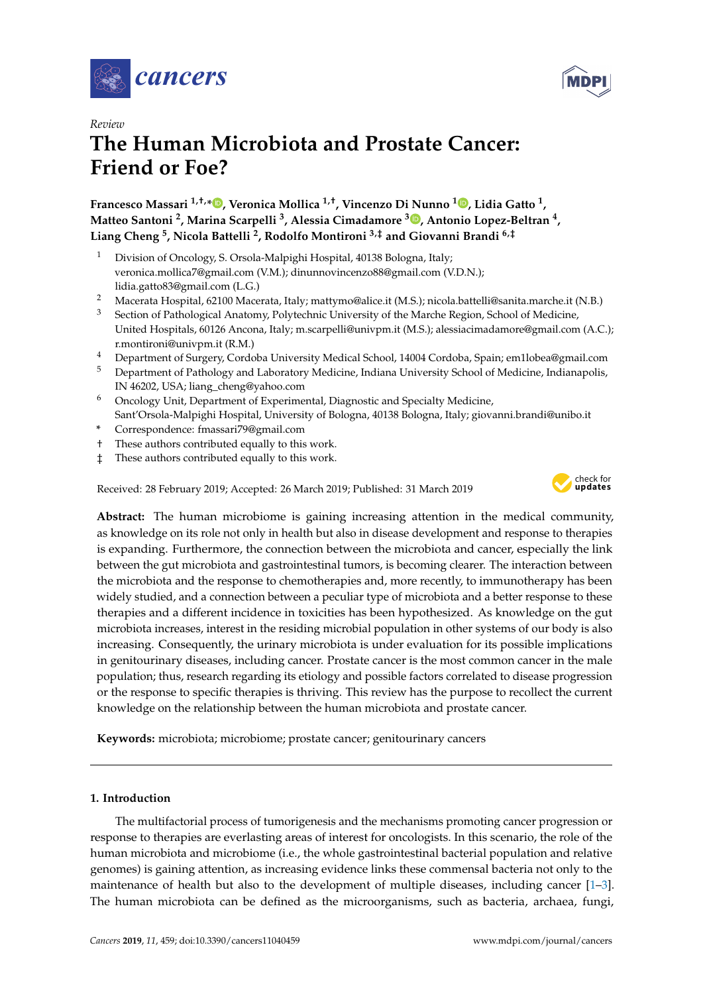



# *Review* **The Human Microbiota and Prostate Cancer: Friend or Foe?**

## **Francesco Massari 1,†,\* [,](https://orcid.org/0000-0001-6476-6871) Veronica Mollica 1,†, Vincenzo Di Nunno <sup>1</sup> [,](https://orcid.org/0000-0003-4441-9834) Lidia Gatto <sup>1</sup> , Matteo Santoni <sup>2</sup> , Marina Scarpelli <sup>3</sup> , Alessia Cimadamore <sup>3</sup> [,](https://orcid.org/0000-0001-5981-3514) Antonio Lopez-Beltran <sup>4</sup> , Liang Cheng <sup>5</sup> , Nicola Battelli <sup>2</sup> , Rodolfo Montironi 3,‡ and Giovanni Brandi 6,‡**

- <sup>1</sup> Division of Oncology, S. Orsola-Malpighi Hospital, 40138 Bologna, Italy; veronica.mollica7@gmail.com (V.M.); dinunnovincenzo88@gmail.com (V.D.N.); lidia.gatto83@gmail.com (L.G.)
- <sup>2</sup> Macerata Hospital, 62100 Macerata, Italy; mattymo@alice.it (M.S.); nicola.battelli@sanita.marche.it (N.B.)
- <sup>3</sup> Section of Pathological Anatomy, Polytechnic University of the Marche Region, School of Medicine, United Hospitals, 60126 Ancona, Italy; m.scarpelli@univpm.it (M.S.); alessiacimadamore@gmail.com (A.C.); r.montironi@univpm.it (R.M.)
- <sup>4</sup> Department of Surgery, Cordoba University Medical School, 14004 Cordoba, Spain; em1lobea@gmail.com<br><sup>5</sup> Department of Pathology and Laboratory Medicine, Indiana University School of Medicine, Indianapolis
- <sup>5</sup> Department of Pathology and Laboratory Medicine, Indiana University School of Medicine, Indianapolis, IN 46202, USA; liang\_cheng@yahoo.com
- <sup>6</sup> Oncology Unit, Department of Experimental, Diagnostic and Specialty Medicine, Sant'Orsola-Malpighi Hospital, University of Bologna, 40138 Bologna, Italy; giovanni.brandi@unibo.it
- **\*** Correspondence: fmassari79@gmail.com
- † These authors contributed equally to this work.
- ‡ These authors contributed equally to this work.

Received: 28 February 2019; Accepted: 26 March 2019; Published: 31 March 2019



**Abstract:** The human microbiome is gaining increasing attention in the medical community, as knowledge on its role not only in health but also in disease development and response to therapies is expanding. Furthermore, the connection between the microbiota and cancer, especially the link between the gut microbiota and gastrointestinal tumors, is becoming clearer. The interaction between the microbiota and the response to chemotherapies and, more recently, to immunotherapy has been widely studied, and a connection between a peculiar type of microbiota and a better response to these therapies and a different incidence in toxicities has been hypothesized. As knowledge on the gut microbiota increases, interest in the residing microbial population in other systems of our body is also increasing. Consequently, the urinary microbiota is under evaluation for its possible implications in genitourinary diseases, including cancer. Prostate cancer is the most common cancer in the male population; thus, research regarding its etiology and possible factors correlated to disease progression or the response to specific therapies is thriving. This review has the purpose to recollect the current knowledge on the relationship between the human microbiota and prostate cancer.

**Keywords:** microbiota; microbiome; prostate cancer; genitourinary cancers

### **1. Introduction**

The multifactorial process of tumorigenesis and the mechanisms promoting cancer progression or response to therapies are everlasting areas of interest for oncologists. In this scenario, the role of the human microbiota and microbiome (i.e., the whole gastrointestinal bacterial population and relative genomes) is gaining attention, as increasing evidence links these commensal bacteria not only to the maintenance of health but also to the development of multiple diseases, including cancer [\[1–](#page-6-0)[3\]](#page-6-1). The human microbiota can be defined as the microorganisms, such as bacteria, archaea, fungi,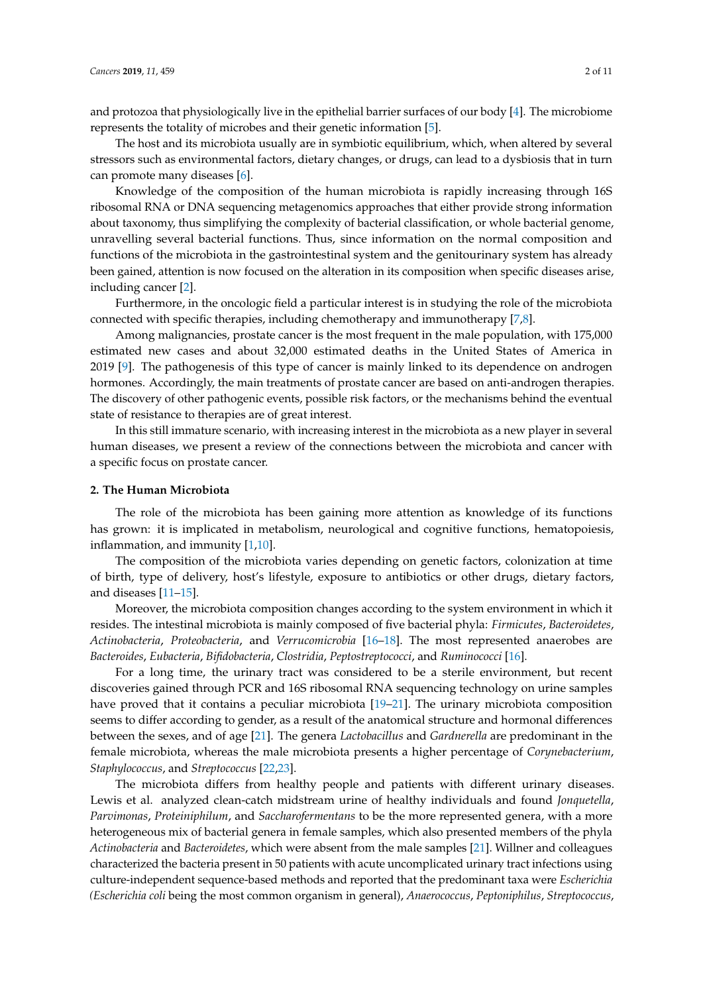and protozoa that physiologically live in the epithelial barrier surfaces of our body [\[4\]](#page-6-2). The microbiome represents the totality of microbes and their genetic information [\[5\]](#page-6-3).

The host and its microbiota usually are in symbiotic equilibrium, which, when altered by several stressors such as environmental factors, dietary changes, or drugs, can lead to a dysbiosis that in turn can promote many diseases [\[6\]](#page-6-4).

Knowledge of the composition of the human microbiota is rapidly increasing through 16S ribosomal RNA or DNA sequencing metagenomics approaches that either provide strong information about taxonomy, thus simplifying the complexity of bacterial classification, or whole bacterial genome, unravelling several bacterial functions. Thus, since information on the normal composition and functions of the microbiota in the gastrointestinal system and the genitourinary system has already been gained, attention is now focused on the alteration in its composition when specific diseases arise, including cancer [\[2\]](#page-6-5).

Furthermore, in the oncologic field a particular interest is in studying the role of the microbiota connected with specific therapies, including chemotherapy and immunotherapy [\[7](#page-6-6)[,8\]](#page-6-7).

Among malignancies, prostate cancer is the most frequent in the male population, with 175,000 estimated new cases and about 32,000 estimated deaths in the United States of America in 2019 [\[9\]](#page-6-8). The pathogenesis of this type of cancer is mainly linked to its dependence on androgen hormones. Accordingly, the main treatments of prostate cancer are based on anti-androgen therapies. The discovery of other pathogenic events, possible risk factors, or the mechanisms behind the eventual state of resistance to therapies are of great interest.

In this still immature scenario, with increasing interest in the microbiota as a new player in several human diseases, we present a review of the connections between the microbiota and cancer with a specific focus on prostate cancer.

#### **2. The Human Microbiota**

The role of the microbiota has been gaining more attention as knowledge of its functions has grown: it is implicated in metabolism, neurological and cognitive functions, hematopoiesis, inflammation, and immunity [\[1](#page-6-0)[,10\]](#page-6-9).

The composition of the microbiota varies depending on genetic factors, colonization at time of birth, type of delivery, host's lifestyle, exposure to antibiotics or other drugs, dietary factors, and diseases [\[11–](#page-6-10)[15\]](#page-6-11).

Moreover, the microbiota composition changes according to the system environment in which it resides. The intestinal microbiota is mainly composed of five bacterial phyla: *Firmicutes*, *Bacteroidetes*, *Actinobacteria*, *Proteobacteria*, and *Verrucomicrobia* [\[16](#page-7-0)[–18\]](#page-7-1). The most represented anaerobes are *Bacteroides*, *Eubacteria*, *Bifidobacteria*, *Clostridia*, *Peptostreptococci*, and *Ruminococci* [\[16\]](#page-7-0).

For a long time, the urinary tract was considered to be a sterile environment, but recent discoveries gained through PCR and 16S ribosomal RNA sequencing technology on urine samples have proved that it contains a peculiar microbiota [\[19](#page-7-2)[–21\]](#page-7-3). The urinary microbiota composition seems to differ according to gender, as a result of the anatomical structure and hormonal differences between the sexes, and of age [\[21\]](#page-7-3). The genera *Lactobacillus* and *Gardnerella* are predominant in the female microbiota, whereas the male microbiota presents a higher percentage of *Corynebacterium*, *Staphylococcus*, and *Streptococcus* [\[22](#page-7-4)[,23\]](#page-7-5).

The microbiota differs from healthy people and patients with different urinary diseases. Lewis et al. analyzed clean-catch midstream urine of healthy individuals and found *Jonquetella*, *Parvimonas*, *Proteiniphilum*, and *Saccharofermentans* to be the more represented genera, with a more heterogeneous mix of bacterial genera in female samples, which also presented members of the phyla *Actinobacteria* and *Bacteroidetes*, which were absent from the male samples [\[21\]](#page-7-3). Willner and colleagues characterized the bacteria present in 50 patients with acute uncomplicated urinary tract infections using culture-independent sequence-based methods and reported that the predominant taxa were *Escherichia (Escherichia coli* being the most common organism in general), *Anaerococcus*, *Peptoniphilus*, *Streptococcus*,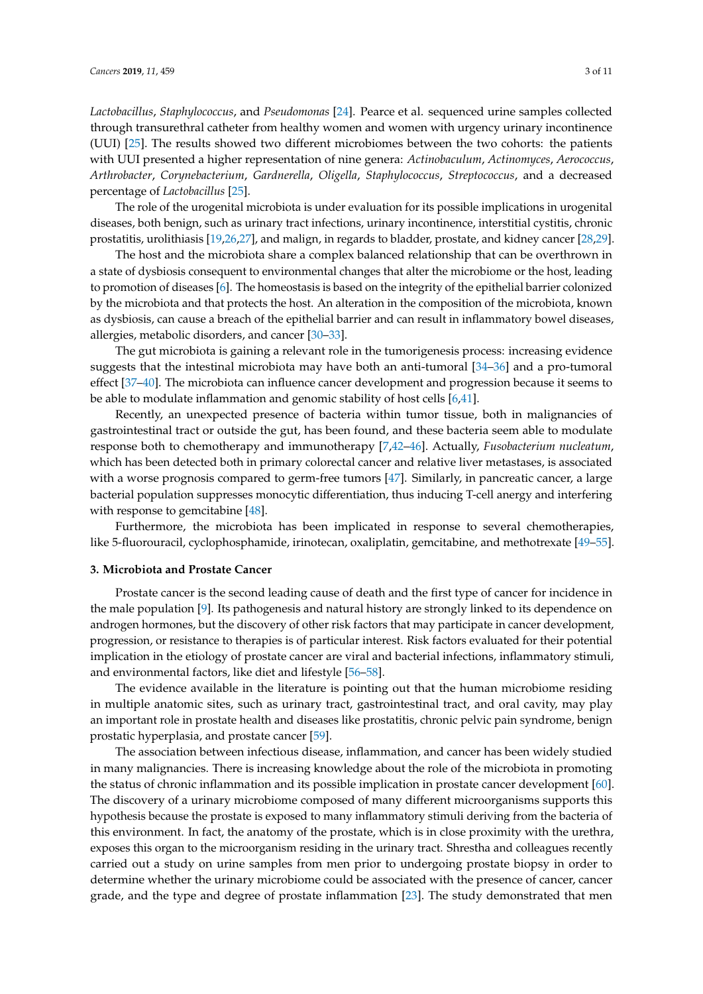*Lactobacillus*, *Staphylococcus*, and *Pseudomonas* [\[24\]](#page-7-6). Pearce et al. sequenced urine samples collected through transurethral catheter from healthy women and women with urgency urinary incontinence (UUI) [\[25\]](#page-7-7). The results showed two different microbiomes between the two cohorts: the patients with UUI presented a higher representation of nine genera: *Actinobaculum*, *Actinomyces*, *Aerococcus*, *Arthrobacter*, *Corynebacterium*, *Gardnerella*, *Oligella*, *Staphylococcus*, *Streptococcus*, and a decreased percentage of *Lactobacillus* [\[25\]](#page-7-7).

The role of the urogenital microbiota is under evaluation for its possible implications in urogenital diseases, both benign, such as urinary tract infections, urinary incontinence, interstitial cystitis, chronic prostatitis, urolithiasis [\[19](#page-7-2)[,26](#page-7-8)[,27\]](#page-7-9), and malign, in regards to bladder, prostate, and kidney cancer [\[28](#page-7-10)[,29\]](#page-7-11).

The host and the microbiota share a complex balanced relationship that can be overthrown in a state of dysbiosis consequent to environmental changes that alter the microbiome or the host, leading to promotion of diseases [\[6\]](#page-6-4). The homeostasis is based on the integrity of the epithelial barrier colonized by the microbiota and that protects the host. An alteration in the composition of the microbiota, known as dysbiosis, can cause a breach of the epithelial barrier and can result in inflammatory bowel diseases, allergies, metabolic disorders, and cancer [\[30–](#page-7-12)[33\]](#page-7-13).

The gut microbiota is gaining a relevant role in the tumorigenesis process: increasing evidence suggests that the intestinal microbiota may have both an anti-tumoral [\[34](#page-7-14)[–36\]](#page-8-0) and a pro-tumoral effect [\[37–](#page-8-1)[40\]](#page-8-2). The microbiota can influence cancer development and progression because it seems to be able to modulate inflammation and genomic stability of host cells [\[6](#page-6-4)[,41\]](#page-8-3).

Recently, an unexpected presence of bacteria within tumor tissue, both in malignancies of gastrointestinal tract or outside the gut, has been found, and these bacteria seem able to modulate response both to chemotherapy and immunotherapy [\[7](#page-6-6)[,42–](#page-8-4)[46\]](#page-8-5). Actually, *Fusobacterium nucleatum*, which has been detected both in primary colorectal cancer and relative liver metastases, is associated with a worse prognosis compared to germ-free tumors [\[47\]](#page-8-6). Similarly, in pancreatic cancer, a large bacterial population suppresses monocytic differentiation, thus inducing T-cell anergy and interfering with response to gemcitabine [\[48\]](#page-8-7).

Furthermore, the microbiota has been implicated in response to several chemotherapies, like 5-fluorouracil, cyclophosphamide, irinotecan, oxaliplatin, gemcitabine, and methotrexate [\[49–](#page-8-8)[55\]](#page-9-0).

#### **3. Microbiota and Prostate Cancer**

Prostate cancer is the second leading cause of death and the first type of cancer for incidence in the male population [\[9\]](#page-6-8). Its pathogenesis and natural history are strongly linked to its dependence on androgen hormones, but the discovery of other risk factors that may participate in cancer development, progression, or resistance to therapies is of particular interest. Risk factors evaluated for their potential implication in the etiology of prostate cancer are viral and bacterial infections, inflammatory stimuli, and environmental factors, like diet and lifestyle [\[56](#page-9-1)[–58\]](#page-9-2).

The evidence available in the literature is pointing out that the human microbiome residing in multiple anatomic sites, such as urinary tract, gastrointestinal tract, and oral cavity, may play an important role in prostate health and diseases like prostatitis, chronic pelvic pain syndrome, benign prostatic hyperplasia, and prostate cancer [\[59\]](#page-9-3).

The association between infectious disease, inflammation, and cancer has been widely studied in many malignancies. There is increasing knowledge about the role of the microbiota in promoting the status of chronic inflammation and its possible implication in prostate cancer development [\[60\]](#page-9-4). The discovery of a urinary microbiome composed of many different microorganisms supports this hypothesis because the prostate is exposed to many inflammatory stimuli deriving from the bacteria of this environment. In fact, the anatomy of the prostate, which is in close proximity with the urethra, exposes this organ to the microorganism residing in the urinary tract. Shrestha and colleagues recently carried out a study on urine samples from men prior to undergoing prostate biopsy in order to determine whether the urinary microbiome could be associated with the presence of cancer, cancer grade, and the type and degree of prostate inflammation [\[23\]](#page-7-5). The study demonstrated that men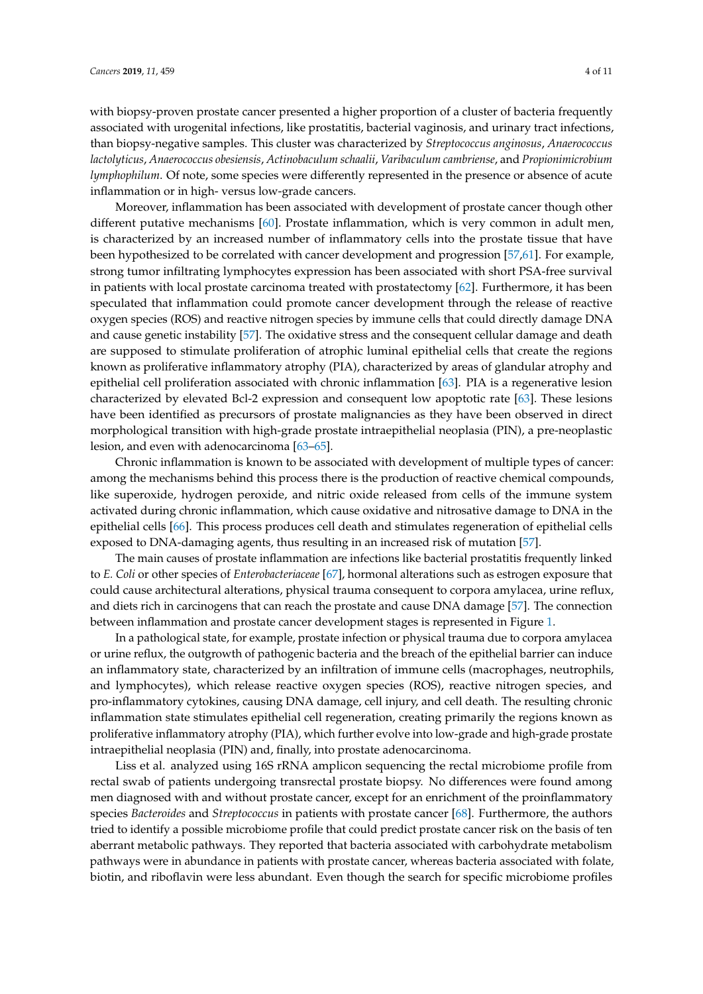with biopsy-proven prostate cancer presented a higher proportion of a cluster of bacteria frequently associated with urogenital infections, like prostatitis, bacterial vaginosis, and urinary tract infections, than biopsy-negative samples. This cluster was characterized by *Streptococcus anginosus*, *Anaerococcus lactolyticus*, *Anaerococcus obesiensis*, *Actinobaculum schaalii*, *Varibaculum cambriense*, and *Propionimicrobium lymphophilum*. Of note, some species were differently represented in the presence or absence of acute inflammation or in high- versus low-grade cancers.

Moreover, inflammation has been associated with development of prostate cancer though other different putative mechanisms [\[60\]](#page-9-4). Prostate inflammation, which is very common in adult men, is characterized by an increased number of inflammatory cells into the prostate tissue that have been hypothesized to be correlated with cancer development and progression [\[57,](#page-9-5)[61\]](#page-9-6). For example, strong tumor infiltrating lymphocytes expression has been associated with short PSA-free survival in patients with local prostate carcinoma treated with prostatectomy [\[62\]](#page-9-7). Furthermore, it has been speculated that inflammation could promote cancer development through the release of reactive oxygen species (ROS) and reactive nitrogen species by immune cells that could directly damage DNA and cause genetic instability [\[57\]](#page-9-5). The oxidative stress and the consequent cellular damage and death are supposed to stimulate proliferation of atrophic luminal epithelial cells that create the regions known as proliferative inflammatory atrophy (PIA), characterized by areas of glandular atrophy and epithelial cell proliferation associated with chronic inflammation [\[63\]](#page-9-8). PIA is a regenerative lesion characterized by elevated Bcl-2 expression and consequent low apoptotic rate [\[63\]](#page-9-8). These lesions have been identified as precursors of prostate malignancies as they have been observed in direct morphological transition with high-grade prostate intraepithelial neoplasia (PIN), a pre-neoplastic lesion, and even with adenocarcinoma [\[63](#page-9-8)[–65\]](#page-9-9).

Chronic inflammation is known to be associated with development of multiple types of cancer: among the mechanisms behind this process there is the production of reactive chemical compounds, like superoxide, hydrogen peroxide, and nitric oxide released from cells of the immune system activated during chronic inflammation, which cause oxidative and nitrosative damage to DNA in the epithelial cells [\[66\]](#page-9-10). This process produces cell death and stimulates regeneration of epithelial cells exposed to DNA-damaging agents, thus resulting in an increased risk of mutation [\[57\]](#page-9-5).

The main causes of prostate inflammation are infections like bacterial prostatitis frequently linked to *E. Coli* or other species of *Enterobacteriaceae* [\[67\]](#page-9-11), hormonal alterations such as estrogen exposure that could cause architectural alterations, physical trauma consequent to corpora amylacea, urine reflux, and diets rich in carcinogens that can reach the prostate and cause DNA damage [\[57\]](#page-9-5). The connection between inflammation and prostate cancer development stages is represented in Figure [1.](#page-4-0)

In a pathological state, for example, prostate infection or physical trauma due to corpora amylacea or urine reflux, the outgrowth of pathogenic bacteria and the breach of the epithelial barrier can induce an inflammatory state, characterized by an infiltration of immune cells (macrophages, neutrophils, and lymphocytes), which release reactive oxygen species (ROS), reactive nitrogen species, and pro-inflammatory cytokines, causing DNA damage, cell injury, and cell death. The resulting chronic inflammation state stimulates epithelial cell regeneration, creating primarily the regions known as proliferative inflammatory atrophy (PIA), which further evolve into low-grade and high-grade prostate intraepithelial neoplasia (PIN) and, finally, into prostate adenocarcinoma.

Liss et al. analyzed using 16S rRNA amplicon sequencing the rectal microbiome profile from rectal swab of patients undergoing transrectal prostate biopsy. No differences were found among men diagnosed with and without prostate cancer, except for an enrichment of the proinflammatory species *Bacteroides* and *Streptococcus* in patients with prostate cancer [\[68\]](#page-9-12). Furthermore, the authors tried to identify a possible microbiome profile that could predict prostate cancer risk on the basis of ten aberrant metabolic pathways. They reported that bacteria associated with carbohydrate metabolism pathways were in abundance in patients with prostate cancer, whereas bacteria associated with folate, biotin, and riboflavin were less abundant. Even though the search for specific microbiome profiles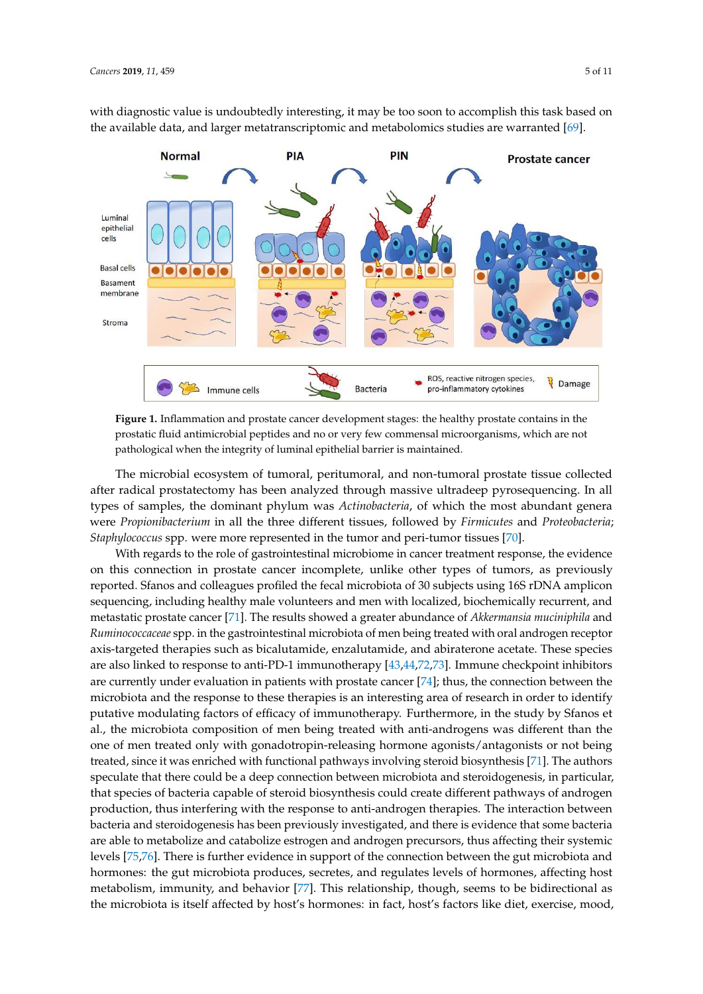with diagnostic value is undoubtedly interesting, it may be too soon to accomplish this task based on the available data, and larger metatranscriptomic and metabolomics studies are warranted [\[69\]](#page-9-13).  $\,$ stimulates epithelial cell regeneration, creating primarily the regions known as proliferative inflammatory  $\alpha$ in diagnosiic vanie is undoubledly interesting, it hiay be too soon to accomplish this task based of

<span id="page-4-0"></span>

Figure 1. Inflammation and prostate cancer development stages: the healthy prostate contains in the prostatic fluid antimicrobial peptides and no or very few commensal microorganisms, which are not pathological when the integrity of luminal epithelial barrier is maintained.

The microbial ecosystem of tumoral, peritumoral, and non-tumoral prostate tissue collected after radical prostatectomy has been analyzed through massive ultradeep pyrosequencing. In all types of samples, the dominant phylum was *Actinobacteria*, of which the most abundant genera were *Propionibacterium* in all the three different tissues, followed by *Firmicutes* and *Proteobacteria*; *Staphylococcus* spp. were more represented in the tumor and peri-tumor tissues [\[70\]](#page-9-14).

With regards to the role of gastrointestinal microbiome in cancer treatment response, the evidence on this connection in prostate cancer incomplete, unlike other types of tumors, as previously reported. Sfanos and colleagues profiled the fecal microbiota of 30 subjects using 16S rDNA amplicon sequencing, including healthy male volunteers and men with localized, biochemically recurrent, and metastatic prostate cancer [\[71\]](#page-9-15). The results showed a greater abundance of *Akkermansia muciniphila* and *Ruminococcaceae* spp. in the gastrointestinal microbiota of men being treated with oral androgen receptor axis-targeted therapies such as bicalutamide, enzalutamide, and abiraterone acetate. These species are also linked to response to anti-PD-1 immunotherapy [\[43,](#page-8-9)[44,](#page-8-10)[72,](#page-9-16)[73\]](#page-9-17). Immune checkpoint inhibitors are currently under evaluation in patients with prostate cancer [\[74\]](#page-9-18); thus, the connection between the microbiota and the response to these therapies is an interesting area of research in order to identify putative modulating factors of efficacy of immunotherapy. Furthermore, in the study by Sfanos et al., the microbiota composition of men being treated with anti-androgens was different than the one of men treated only with gonadotropin-releasing hormone agonists/antagonists or not being treated, since it was enriched with functional pathways involving steroid biosynthesis [\[71\]](#page-9-15). The authors speculate that there could be a deep connection between microbiota and steroidogenesis, in particular, that species of bacteria capable of steroid biosynthesis could create different pathways of androgen production, thus interfering with the response to anti-androgen therapies. The interaction between bacteria and steroidogenesis has been previously investigated, and there is evidence that some bacteria are able to metabolize and catabolize estrogen and androgen precursors, thus affecting their systemic levels [\[75,](#page-9-19)[76\]](#page-10-0). There is further evidence in support of the connection between the gut microbiota and hormones: the gut microbiota produces, secretes, and regulates levels of hormones, affecting host metabolism, immunity, and behavior [\[77\]](#page-10-1). This relationship, though, seems to be bidirectional as the microbiota is itself affected by host's hormones: in fact, host's factors like diet, exercise, mood,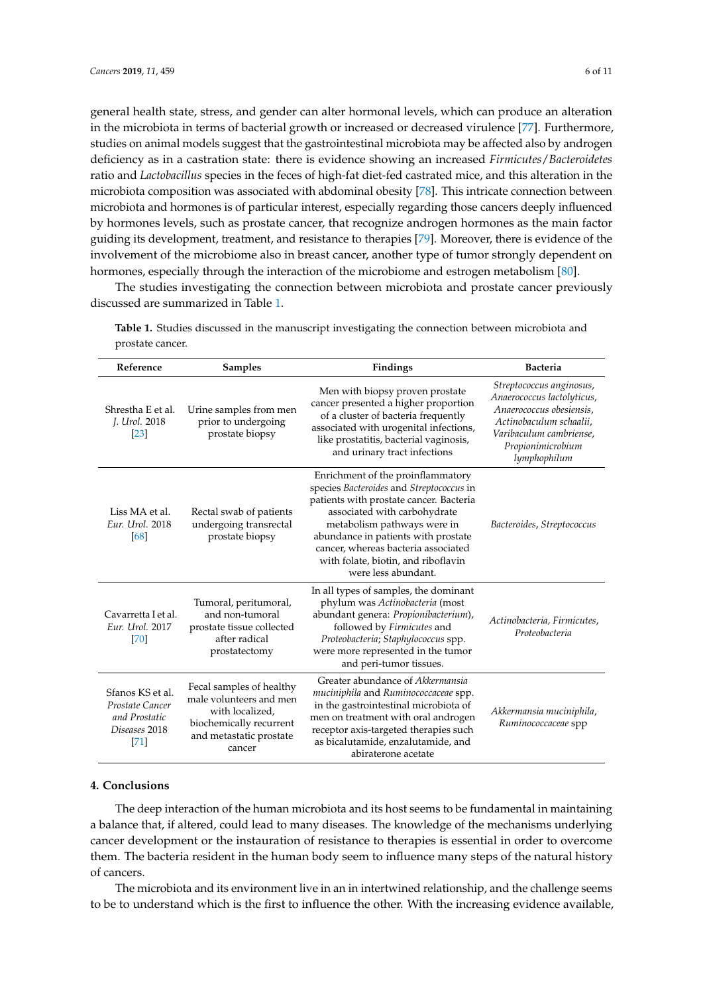general health state, stress, and gender can alter hormonal levels, which can produce an alteration in the microbiota in terms of bacterial growth or increased or decreased virulence [\[77\]](#page-10-1). Furthermore, studies on animal models suggest that the gastrointestinal microbiota may be affected also by androgen deficiency as in a castration state: there is evidence showing an increased *Firmicutes*/*Bacteroidetes* ratio and *Lactobacillus* species in the feces of high-fat diet-fed castrated mice, and this alteration in the microbiota composition was associated with abdominal obesity [\[78\]](#page-10-2). This intricate connection between microbiota and hormones is of particular interest, especially regarding those cancers deeply influenced by hormones levels, such as prostate cancer, that recognize androgen hormones as the main factor guiding its development, treatment, and resistance to therapies [\[79\]](#page-10-3). Moreover, there is evidence of the involvement of the microbiome also in breast cancer, another type of tumor strongly dependent on hormones, especially through the interaction of the microbiome and estrogen metabolism [\[80\]](#page-10-4).

The studies investigating the connection between microbiota and prostate cancer previously discussed are summarized in Table [1.](#page-5-0)

| Reference                                                                       | <b>Samples</b>                                                                                                                         | Findings                                                                                                                                                                                                                                                                                                                            | <b>Bacteria</b>                                                                                                                                                               |
|---------------------------------------------------------------------------------|----------------------------------------------------------------------------------------------------------------------------------------|-------------------------------------------------------------------------------------------------------------------------------------------------------------------------------------------------------------------------------------------------------------------------------------------------------------------------------------|-------------------------------------------------------------------------------------------------------------------------------------------------------------------------------|
| Shrestha E et al.<br>J. Urol. 2018<br>[23]                                      | Urine samples from men<br>prior to undergoing<br>prostate biopsy                                                                       | Men with biopsy proven prostate<br>cancer presented a higher proportion<br>of a cluster of bacteria frequently<br>associated with urogenital infections,<br>like prostatitis, bacterial vaginosis,<br>and urinary tract infections                                                                                                  | Streptococcus anginosus,<br>Anaerococcus lactolyticus,<br>Anaerococcus obesiensis,<br>Actinobaculum schaalii,<br>Varibaculum cambriense,<br>Propionimicrobium<br>lymphophilum |
| Liss MA et al.<br>Eur. Urol. 2018<br>[68]                                       | Rectal swab of patients<br>undergoing transrectal<br>prostate biopsy                                                                   | Enrichment of the proinflammatory<br>species Bacteroides and Streptococcus in<br>patients with prostate cancer. Bacteria<br>associated with carbohydrate<br>metabolism pathways were in<br>abundance in patients with prostate<br>cancer, whereas bacteria associated<br>with folate, biotin, and riboflavin<br>were less abundant. | Bacteroides, Streptococcus                                                                                                                                                    |
| Cavarretta I et al.<br>Eur. Urol. 2017<br>[70]                                  | Tumoral, peritumoral,<br>and non-tumoral<br>prostate tissue collected<br>after radical<br>prostatectomy                                | In all types of samples, the dominant<br>phylum was Actinobacteria (most<br>abundant genera: Propionibacterium),<br>followed by Firmicutes and<br>Proteobacteria; Staphylococcus spp.<br>were more represented in the tumor<br>and peri-tumor tissues.                                                                              | Actinobacteria, Firmicutes,<br>Proteobacteria                                                                                                                                 |
| Sfanos KS et al.<br>Prostate Cancer<br>and Prostatic<br>Diseases 2018<br>$[71]$ | Fecal samples of healthy<br>male volunteers and men<br>with localized,<br>biochemically recurrent<br>and metastatic prostate<br>cancer | Greater abundance of Akkermansia<br>muciniphila and Ruminococcaceae spp.<br>in the gastrointestinal microbiota of<br>men on treatment with oral androgen<br>receptor axis-targeted therapies such<br>as bicalutamide, enzalutamide, and<br>abiraterone acetate                                                                      | Akkermansia muciniphila,<br>Ruminococcaceae spp                                                                                                                               |

<span id="page-5-0"></span>**Table 1.** Studies discussed in the manuscript investigating the connection between microbiota and prostate cancer.

#### **4. Conclusions**

The deep interaction of the human microbiota and its host seems to be fundamental in maintaining a balance that, if altered, could lead to many diseases. The knowledge of the mechanisms underlying cancer development or the instauration of resistance to therapies is essential in order to overcome them. The bacteria resident in the human body seem to influence many steps of the natural history of cancers.

The microbiota and its environment live in an in intertwined relationship, and the challenge seems to be to understand which is the first to influence the other. With the increasing evidence available,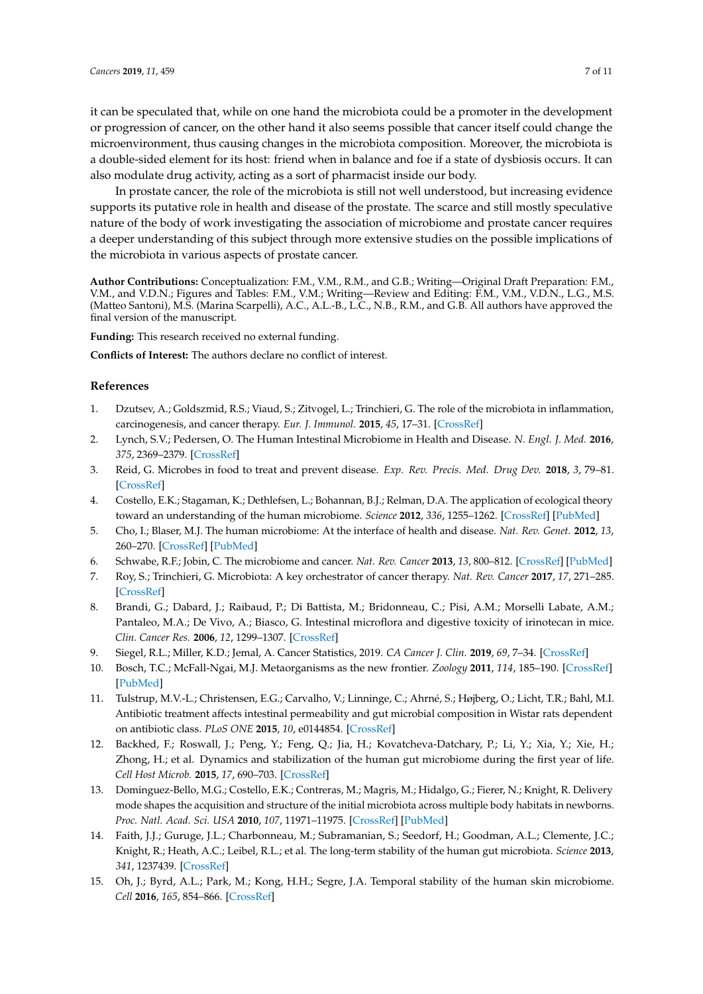it can be speculated that, while on one hand the microbiota could be a promoter in the development or progression of cancer, on the other hand it also seems possible that cancer itself could change the microenvironment, thus causing changes in the microbiota composition. Moreover, the microbiota is a double-sided element for its host: friend when in balance and foe if a state of dysbiosis occurs. It can also modulate drug activity, acting as a sort of pharmacist inside our body.

In prostate cancer, the role of the microbiota is still not well understood, but increasing evidence supports its putative role in health and disease of the prostate. The scarce and still mostly speculative nature of the body of work investigating the association of microbiome and prostate cancer requires a deeper understanding of this subject through more extensive studies on the possible implications of the microbiota in various aspects of prostate cancer.

**Author Contributions:** Conceptualization: F.M., V.M., R.M., and G.B.; Writing—Original Draft Preparation: F.M., V.M., and V.D.N.; Figures and Tables: F.M., V.M.; Writing—Review and Editing: F.M., V.M., V.D.N., L.G., M.S. (Matteo Santoni), M.S. (Marina Scarpelli), A.C., A.L.-B., L.C., N.B., R.M., and G.B. All authors have approved the final version of the manuscript.

**Funding:** This research received no external funding.

**Conflicts of Interest:** The authors declare no conflict of interest.

#### **References**

- <span id="page-6-0"></span>1. Dzutsev, A.; Goldszmid, R.S.; Viaud, S.; Zitvogel, L.; Trinchieri, G. The role of the microbiota in inflammation, carcinogenesis, and cancer therapy. *Eur. J. Immunol.* **2015**, *45*, 17–31. [\[CrossRef\]](http://dx.doi.org/10.1002/eji.201444972)
- <span id="page-6-5"></span>2. Lynch, S.V.; Pedersen, O. The Human Intestinal Microbiome in Health and Disease. *N. Engl. J. Med.* **2016**, *375*, 2369–2379. [\[CrossRef\]](http://dx.doi.org/10.1056/NEJMra1600266)
- <span id="page-6-1"></span>3. Reid, G. Microbes in food to treat and prevent disease. *Exp. Rev. Precis. Med. Drug Dev.* **2018**, *3*, 79–81. [\[CrossRef\]](http://dx.doi.org/10.1080/23808993.2018.1429217)
- <span id="page-6-2"></span>4. Costello, E.K.; Stagaman, K.; Dethlefsen, L.; Bohannan, B.J.; Relman, D.A. The application of ecological theory toward an understanding of the human microbiome. *Science* **2012**, *336*, 1255–1262. [\[CrossRef\]](http://dx.doi.org/10.1126/science.1224203) [\[PubMed\]](http://www.ncbi.nlm.nih.gov/pubmed/22674335)
- <span id="page-6-3"></span>5. Cho, I.; Blaser, M.J. The human microbiome: At the interface of health and disease. *Nat. Rev. Genet.* **2012**, *13*, 260–270. [\[CrossRef\]](http://dx.doi.org/10.1038/nrg3182) [\[PubMed\]](http://www.ncbi.nlm.nih.gov/pubmed/22411464)
- <span id="page-6-4"></span>6. Schwabe, R.F.; Jobin, C. The microbiome and cancer. *Nat. Rev. Cancer* **2013**, *13*, 800–812. [\[CrossRef\]](http://dx.doi.org/10.1038/nrc3610) [\[PubMed\]](http://www.ncbi.nlm.nih.gov/pubmed/24132111)
- <span id="page-6-6"></span>7. Roy, S.; Trinchieri, G. Microbiota: A key orchestrator of cancer therapy. *Nat. Rev. Cancer* **2017**, *17*, 271–285. [\[CrossRef\]](http://dx.doi.org/10.1038/nrc.2017.13)
- <span id="page-6-7"></span>8. Brandi, G.; Dabard, J.; Raibaud, P.; Di Battista, M.; Bridonneau, C.; Pisi, A.M.; Morselli Labate, A.M.; Pantaleo, M.A.; De Vivo, A.; Biasco, G. Intestinal microflora and digestive toxicity of irinotecan in mice. *Clin. Cancer Res.* **2006**, *12*, 1299–1307. [\[CrossRef\]](http://dx.doi.org/10.1158/1078-0432.CCR-05-0750)
- <span id="page-6-8"></span>9. Siegel, R.L.; Miller, K.D.; Jemal, A. Cancer Statistics, 2019. *CA Cancer J. Clin.* **2019**, *69*, 7–34. [\[CrossRef\]](http://dx.doi.org/10.3322/caac.21551)
- <span id="page-6-9"></span>10. Bosch, T.C.; McFall-Ngai, M.J. Metaorganisms as the new frontier. *Zoology* **2011**, *114*, 185–190. [\[CrossRef\]](http://dx.doi.org/10.1016/j.zool.2011.04.001) [\[PubMed\]](http://www.ncbi.nlm.nih.gov/pubmed/21737250)
- <span id="page-6-10"></span>11. Tulstrup, M.V.-L.; Christensen, E.G.; Carvalho, V.; Linninge, C.; Ahrné, S.; Højberg, O.; Licht, T.R.; Bahl, M.I. Antibiotic treatment affects intestinal permeability and gut microbial composition in Wistar rats dependent on antibiotic class. *PLoS ONE* **2015**, *10*, e0144854. [\[CrossRef\]](http://dx.doi.org/10.1371/journal.pone.0144854)
- 12. Backhed, F.; Roswall, J.; Peng, Y.; Feng, Q.; Jia, H.; Kovatcheva-Datchary, P.; Li, Y.; Xia, Y.; Xie, H.; Zhong, H.; et al. Dynamics and stabilization of the human gut microbiome during the first year of life. *Cell Host Microb.* **2015**, *17*, 690–703. [\[CrossRef\]](http://dx.doi.org/10.1016/j.chom.2015.04.004)
- 13. Dominguez-Bello, M.G.; Costello, E.K.; Contreras, M.; Magris, M.; Hidalgo, G.; Fierer, N.; Knight, R. Delivery mode shapes the acquisition and structure of the initial microbiota across multiple body habitats in newborns. *Proc. Natl. Acad. Sci. USA* **2010**, *107*, 11971–11975. [\[CrossRef\]](http://dx.doi.org/10.1073/pnas.1002601107) [\[PubMed\]](http://www.ncbi.nlm.nih.gov/pubmed/20566857)
- 14. Faith, J.J.; Guruge, J.L.; Charbonneau, M.; Subramanian, S.; Seedorf, H.; Goodman, A.L.; Clemente, J.C.; Knight, R.; Heath, A.C.; Leibel, R.L.; et al. The long-term stability of the human gut microbiota. *Science* **2013**, *341*, 1237439. [\[CrossRef\]](http://dx.doi.org/10.1126/science.1237439)
- <span id="page-6-11"></span>15. Oh, J.; Byrd, A.L.; Park, M.; Kong, H.H.; Segre, J.A. Temporal stability of the human skin microbiome. *Cell* **2016**, *165*, 854–866. [\[CrossRef\]](http://dx.doi.org/10.1016/j.cell.2016.04.008)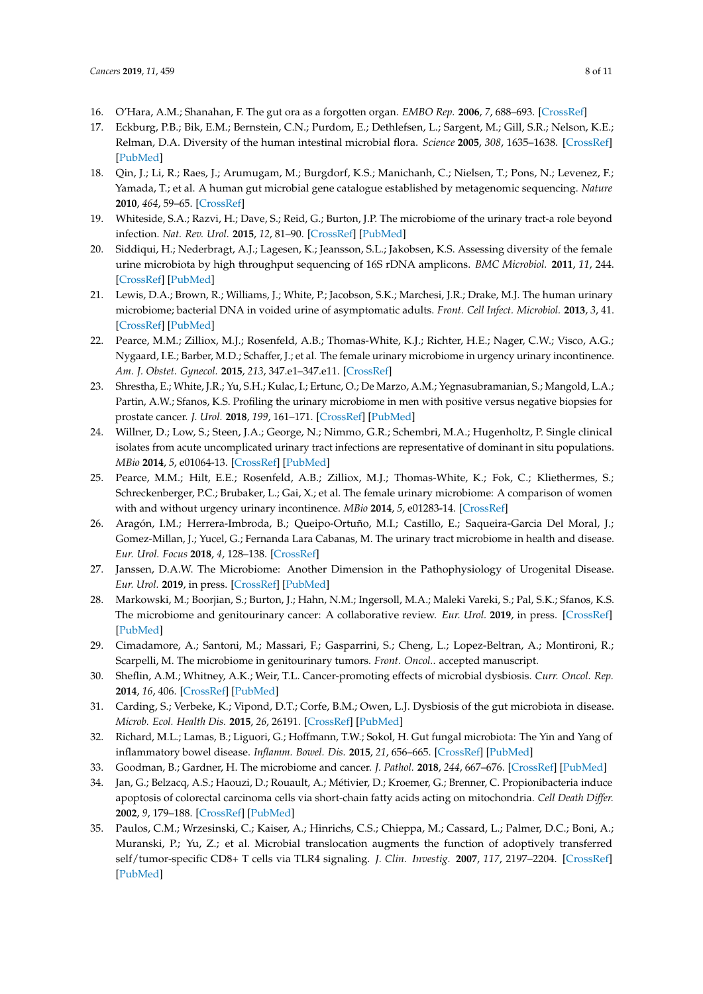- <span id="page-7-0"></span>16. O'Hara, A.M.; Shanahan, F. The gut ora as a forgotten organ. *EMBO Rep.* **2006**, *7*, 688–693. [\[CrossRef\]](http://dx.doi.org/10.1038/sj.embor.7400731)
- 17. Eckburg, P.B.; Bik, E.M.; Bernstein, C.N.; Purdom, E.; Dethlefsen, L.; Sargent, M.; Gill, S.R.; Nelson, K.E.; Relman, D.A. Diversity of the human intestinal microbial flora. *Science* **2005**, *308*, 1635–1638. [\[CrossRef\]](http://dx.doi.org/10.1126/science.1110591) [\[PubMed\]](http://www.ncbi.nlm.nih.gov/pubmed/15831718)
- <span id="page-7-1"></span>18. Qin, J.; Li, R.; Raes, J.; Arumugam, M.; Burgdorf, K.S.; Manichanh, C.; Nielsen, T.; Pons, N.; Levenez, F.; Yamada, T.; et al. A human gut microbial gene catalogue established by metagenomic sequencing. *Nature* **2010**, *464*, 59–65. [\[CrossRef\]](http://dx.doi.org/10.1038/nature08821)
- <span id="page-7-2"></span>19. Whiteside, S.A.; Razvi, H.; Dave, S.; Reid, G.; Burton, J.P. The microbiome of the urinary tract-a role beyond infection. *Nat. Rev. Urol.* **2015**, *12*, 81–90. [\[CrossRef\]](http://dx.doi.org/10.1038/nrurol.2014.361) [\[PubMed\]](http://www.ncbi.nlm.nih.gov/pubmed/25600098)
- 20. Siddiqui, H.; Nederbragt, A.J.; Lagesen, K.; Jeansson, S.L.; Jakobsen, K.S. Assessing diversity of the female urine microbiota by high throughput sequencing of 16S rDNA amplicons. *BMC Microbiol.* **2011**, *11*, 244. [\[CrossRef\]](http://dx.doi.org/10.1186/1471-2180-11-244) [\[PubMed\]](http://www.ncbi.nlm.nih.gov/pubmed/22047020)
- <span id="page-7-3"></span>21. Lewis, D.A.; Brown, R.; Williams, J.; White, P.; Jacobson, S.K.; Marchesi, J.R.; Drake, M.J. The human urinary microbiome; bacterial DNA in voided urine of asymptomatic adults. *Front. Cell Infect. Microbiol.* **2013**, *3*, 41. [\[CrossRef\]](http://dx.doi.org/10.3389/fcimb.2013.00041) [\[PubMed\]](http://www.ncbi.nlm.nih.gov/pubmed/23967406)
- <span id="page-7-4"></span>22. Pearce, M.M.; Zilliox, M.J.; Rosenfeld, A.B.; Thomas-White, K.J.; Richter, H.E.; Nager, C.W.; Visco, A.G.; Nygaard, I.E.; Barber, M.D.; Schaffer, J.; et al. The female urinary microbiome in urgency urinary incontinence. *Am. J. Obstet. Gynecol.* **2015**, *213*, 347.e1–347.e11. [\[CrossRef\]](http://dx.doi.org/10.1016/j.ajog.2015.07.009)
- <span id="page-7-5"></span>23. Shrestha, E.; White, J.R.; Yu, S.H.; Kulac, I.; Ertunc, O.; De Marzo, A.M.; Yegnasubramanian, S.; Mangold, L.A.; Partin, A.W.; Sfanos, K.S. Profiling the urinary microbiome in men with positive versus negative biopsies for prostate cancer. *J. Urol.* **2018**, *199*, 161–171. [\[CrossRef\]](http://dx.doi.org/10.1016/j.juro.2017.08.001) [\[PubMed\]](http://www.ncbi.nlm.nih.gov/pubmed/28797714)
- <span id="page-7-6"></span>24. Willner, D.; Low, S.; Steen, J.A.; George, N.; Nimmo, G.R.; Schembri, M.A.; Hugenholtz, P. Single clinical isolates from acute uncomplicated urinary tract infections are representative of dominant in situ populations. *MBio* **2014**, *5*, e01064-13. [\[CrossRef\]](http://dx.doi.org/10.1128/mBio.01064-13) [\[PubMed\]](http://www.ncbi.nlm.nih.gov/pubmed/24570371)
- <span id="page-7-7"></span>25. Pearce, M.M.; Hilt, E.E.; Rosenfeld, A.B.; Zilliox, M.J.; Thomas-White, K.; Fok, C.; Kliethermes, S.; Schreckenberger, P.C.; Brubaker, L.; Gai, X.; et al. The female urinary microbiome: A comparison of women with and without urgency urinary incontinence. *MBio* **2014**, *5*, e01283-14. [\[CrossRef\]](http://dx.doi.org/10.1128/mBio.01283-14)
- <span id="page-7-8"></span>26. Aragón, I.M.; Herrera-Imbroda, B.; Queipo-Ortuño, M.I.; Castillo, E.; Saqueira-Garcia Del Moral, J.; Gomez-Millan, J.; Yucel, G.; Fernanda Lara Cabanas, M. The urinary tract microbiome in health and disease. *Eur. Urol. Focus* **2018**, *4*, 128–138. [\[CrossRef\]](http://dx.doi.org/10.1016/j.euf.2016.11.001)
- <span id="page-7-9"></span>27. Janssen, D.A.W. The Microbiome: Another Dimension in the Pathophysiology of Urogenital Disease. *Eur. Urol.* **2019**, in press. [\[CrossRef\]](http://dx.doi.org/10.1016/j.eururo.2019.01.014) [\[PubMed\]](http://www.ncbi.nlm.nih.gov/pubmed/30665810)
- <span id="page-7-10"></span>28. Markowski, M.; Boorjian, S.; Burton, J.; Hahn, N.M.; Ingersoll, M.A.; Maleki Vareki, S.; Pal, S.K.; Sfanos, K.S. The microbiome and genitourinary cancer: A collaborative review. *Eur. Urol.* **2019**, in press. [\[CrossRef\]](http://dx.doi.org/10.1016/j.eururo.2018.12.043) [\[PubMed\]](http://www.ncbi.nlm.nih.gov/pubmed/30655087)
- <span id="page-7-11"></span>29. Cimadamore, A.; Santoni, M.; Massari, F.; Gasparrini, S.; Cheng, L.; Lopez-Beltran, A.; Montironi, R.; Scarpelli, M. The microbiome in genitourinary tumors. *Front. Oncol.*. accepted manuscript.
- <span id="page-7-12"></span>30. Sheflin, A.M.; Whitney, A.K.; Weir, T.L. Cancer-promoting effects of microbial dysbiosis. *Curr. Oncol. Rep.* **2014**, *16*, 406. [\[CrossRef\]](http://dx.doi.org/10.1007/s11912-014-0406-0) [\[PubMed\]](http://www.ncbi.nlm.nih.gov/pubmed/25123079)
- 31. Carding, S.; Verbeke, K.; Vipond, D.T.; Corfe, B.M.; Owen, L.J. Dysbiosis of the gut microbiota in disease. *Microb. Ecol. Health Dis.* **2015**, *26*, 26191. [\[CrossRef\]](http://dx.doi.org/10.3402/mehd.v26.26191) [\[PubMed\]](http://www.ncbi.nlm.nih.gov/pubmed/25651997)
- 32. Richard, M.L.; Lamas, B.; Liguori, G.; Hoffmann, T.W.; Sokol, H. Gut fungal microbiota: The Yin and Yang of inflammatory bowel disease. *Inflamm. Bowel. Dis.* **2015**, *21*, 656–665. [\[CrossRef\]](http://dx.doi.org/10.1097/MIB.0000000000000261) [\[PubMed\]](http://www.ncbi.nlm.nih.gov/pubmed/25545379)
- <span id="page-7-13"></span>33. Goodman, B.; Gardner, H. The microbiome and cancer. *J. Pathol.* **2018**, *244*, 667–676. [\[CrossRef\]](http://dx.doi.org/10.1002/path.5047) [\[PubMed\]](http://www.ncbi.nlm.nih.gov/pubmed/29377130)
- <span id="page-7-14"></span>34. Jan, G.; Belzacq, A.S.; Haouzi, D.; Rouault, A.; Métivier, D.; Kroemer, G.; Brenner, C. Propionibacteria induce apoptosis of colorectal carcinoma cells via short-chain fatty acids acting on mitochondria. *Cell Death Differ.* **2002**, *9*, 179–188. [\[CrossRef\]](http://dx.doi.org/10.1038/sj.cdd.4400935) [\[PubMed\]](http://www.ncbi.nlm.nih.gov/pubmed/11840168)
- 35. Paulos, C.M.; Wrzesinski, C.; Kaiser, A.; Hinrichs, C.S.; Chieppa, M.; Cassard, L.; Palmer, D.C.; Boni, A.; Muranski, P.; Yu, Z.; et al. Microbial translocation augments the function of adoptively transferred self/tumor-specific CD8+ T cells via TLR4 signaling. *J. Clin. Investig.* **2007**, *117*, 2197–2204. [\[CrossRef\]](http://dx.doi.org/10.1172/JCI32205) [\[PubMed\]](http://www.ncbi.nlm.nih.gov/pubmed/17657310)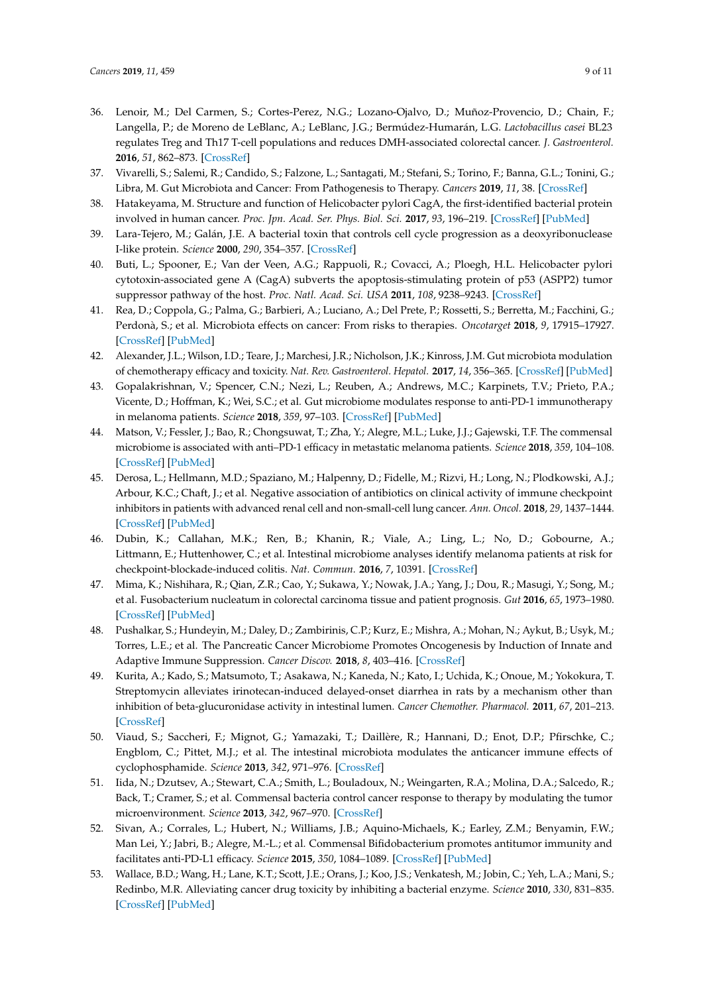- <span id="page-8-0"></span>36. Lenoir, M.; Del Carmen, S.; Cortes-Perez, N.G.; Lozano-Ojalvo, D.; Muñoz-Provencio, D.; Chain, F.; Langella, P.; de Moreno de LeBlanc, A.; LeBlanc, J.G.; Bermúdez-Humarán, L.G. *Lactobacillus casei* BL23 regulates Treg and Th17 T-cell populations and reduces DMH-associated colorectal cancer. *J. Gastroenterol.* **2016**, *51*, 862–873. [\[CrossRef\]](http://dx.doi.org/10.1007/s00535-015-1158-9)
- <span id="page-8-1"></span>37. Vivarelli, S.; Salemi, R.; Candido, S.; Falzone, L.; Santagati, M.; Stefani, S.; Torino, F.; Banna, G.L.; Tonini, G.; Libra, M. Gut Microbiota and Cancer: From Pathogenesis to Therapy. *Cancers* **2019**, *11*, 38. [\[CrossRef\]](http://dx.doi.org/10.3390/cancers11010038)
- 38. Hatakeyama, M. Structure and function of Helicobacter pylori CagA, the first-identified bacterial protein involved in human cancer. *Proc. Jpn. Acad. Ser. Phys. Biol. Sci.* **2017**, *93*, 196–219. [\[CrossRef\]](http://dx.doi.org/10.2183/pjab.93.013) [\[PubMed\]](http://www.ncbi.nlm.nih.gov/pubmed/28413197)
- 39. Lara-Tejero, M.; Galán, J.E. A bacterial toxin that controls cell cycle progression as a deoxyribonuclease I-like protein. *Science* **2000**, *290*, 354–357. [\[CrossRef\]](http://dx.doi.org/10.1126/science.290.5490.354)
- <span id="page-8-2"></span>40. Buti, L.; Spooner, E.; Van der Veen, A.G.; Rappuoli, R.; Covacci, A.; Ploegh, H.L. Helicobacter pylori cytotoxin-associated gene A (CagA) subverts the apoptosis-stimulating protein of p53 (ASPP2) tumor suppressor pathway of the host. *Proc. Natl. Acad. Sci. USA* **2011**, *108*, 9238–9243. [\[CrossRef\]](http://dx.doi.org/10.1073/pnas.1106200108)
- <span id="page-8-3"></span>41. Rea, D.; Coppola, G.; Palma, G.; Barbieri, A.; Luciano, A.; Del Prete, P.; Rossetti, S.; Berretta, M.; Facchini, G.; Perdonà, S.; et al. Microbiota effects on cancer: From risks to therapies. *Oncotarget* **2018**, *9*, 17915–17927. [\[CrossRef\]](http://dx.doi.org/10.18632/oncotarget.24681) [\[PubMed\]](http://www.ncbi.nlm.nih.gov/pubmed/29707157)
- <span id="page-8-4"></span>42. Alexander, J.L.; Wilson, I.D.; Teare, J.; Marchesi, J.R.; Nicholson, J.K.; Kinross, J.M. Gut microbiota modulation of chemotherapy efficacy and toxicity. *Nat. Rev. Gastroenterol. Hepatol.* **2017**, *14*, 356–365. [\[CrossRef\]](http://dx.doi.org/10.1038/nrgastro.2017.20) [\[PubMed\]](http://www.ncbi.nlm.nih.gov/pubmed/28270698)
- <span id="page-8-9"></span>43. Gopalakrishnan, V.; Spencer, C.N.; Nezi, L.; Reuben, A.; Andrews, M.C.; Karpinets, T.V.; Prieto, P.A.; Vicente, D.; Hoffman, K.; Wei, S.C.; et al. Gut microbiome modulates response to anti-PD-1 immunotherapy in melanoma patients. *Science* **2018**, *359*, 97–103. [\[CrossRef\]](http://dx.doi.org/10.1126/science.aan4236) [\[PubMed\]](http://www.ncbi.nlm.nih.gov/pubmed/29097493)
- <span id="page-8-10"></span>44. Matson, V.; Fessler, J.; Bao, R.; Chongsuwat, T.; Zha, Y.; Alegre, M.L.; Luke, J.J.; Gajewski, T.F. The commensal microbiome is associated with anti–PD-1 efficacy in metastatic melanoma patients. *Science* **2018**, *359*, 104–108. [\[CrossRef\]](http://dx.doi.org/10.1126/science.aao3290) [\[PubMed\]](http://www.ncbi.nlm.nih.gov/pubmed/29302014)
- 45. Derosa, L.; Hellmann, M.D.; Spaziano, M.; Halpenny, D.; Fidelle, M.; Rizvi, H.; Long, N.; Plodkowski, A.J.; Arbour, K.C.; Chaft, J.; et al. Negative association of antibiotics on clinical activity of immune checkpoint inhibitors in patients with advanced renal cell and non-small-cell lung cancer. *Ann. Oncol.* **2018**, *29*, 1437–1444. [\[CrossRef\]](http://dx.doi.org/10.1093/annonc/mdy103) [\[PubMed\]](http://www.ncbi.nlm.nih.gov/pubmed/29617710)
- <span id="page-8-5"></span>46. Dubin, K.; Callahan, M.K.; Ren, B.; Khanin, R.; Viale, A.; Ling, L.; No, D.; Gobourne, A.; Littmann, E.; Huttenhower, C.; et al. Intestinal microbiome analyses identify melanoma patients at risk for checkpoint-blockade-induced colitis. *Nat. Commun.* **2016**, *7*, 10391. [\[CrossRef\]](http://dx.doi.org/10.1038/ncomms10391)
- <span id="page-8-6"></span>47. Mima, K.; Nishihara, R.; Qian, Z.R.; Cao, Y.; Sukawa, Y.; Nowak, J.A.; Yang, J.; Dou, R.; Masugi, Y.; Song, M.; et al. Fusobacterium nucleatum in colorectal carcinoma tissue and patient prognosis. *Gut* **2016**, *65*, 1973–1980. [\[CrossRef\]](http://dx.doi.org/10.1136/gutjnl-2015-310101) [\[PubMed\]](http://www.ncbi.nlm.nih.gov/pubmed/26311717)
- <span id="page-8-7"></span>48. Pushalkar, S.; Hundeyin, M.; Daley, D.; Zambirinis, C.P.; Kurz, E.; Mishra, A.; Mohan, N.; Aykut, B.; Usyk, M.; Torres, L.E.; et al. The Pancreatic Cancer Microbiome Promotes Oncogenesis by Induction of Innate and Adaptive Immune Suppression. *Cancer Discov.* **2018**, *8*, 403–416. [\[CrossRef\]](http://dx.doi.org/10.1158/2159-8290.CD-17-1134)
- <span id="page-8-8"></span>49. Kurita, A.; Kado, S.; Matsumoto, T.; Asakawa, N.; Kaneda, N.; Kato, I.; Uchida, K.; Onoue, M.; Yokokura, T. Streptomycin alleviates irinotecan-induced delayed-onset diarrhea in rats by a mechanism other than inhibition of beta-glucuronidase activity in intestinal lumen. *Cancer Chemother. Pharmacol.* **2011**, *67*, 201–213. [\[CrossRef\]](http://dx.doi.org/10.1007/s00280-010-1310-4)
- 50. Viaud, S.; Saccheri, F.; Mignot, G.; Yamazaki, T.; Daillère, R.; Hannani, D.; Enot, D.P.; Pfirschke, C.; Engblom, C.; Pittet, M.J.; et al. The intestinal microbiota modulates the anticancer immune effects of cyclophosphamide. *Science* **2013**, *342*, 971–976. [\[CrossRef\]](http://dx.doi.org/10.1126/science.1240537)
- 51. Iida, N.; Dzutsev, A.; Stewart, C.A.; Smith, L.; Bouladoux, N.; Weingarten, R.A.; Molina, D.A.; Salcedo, R.; Back, T.; Cramer, S.; et al. Commensal bacteria control cancer response to therapy by modulating the tumor microenvironment. *Science* **2013**, *342*, 967–970. [\[CrossRef\]](http://dx.doi.org/10.1126/science.1240527)
- 52. Sivan, A.; Corrales, L.; Hubert, N.; Williams, J.B.; Aquino-Michaels, K.; Earley, Z.M.; Benyamin, F.W.; Man Lei, Y.; Jabri, B.; Alegre, M.-L.; et al. Commensal Bifidobacterium promotes antitumor immunity and facilitates anti-PD-L1 efficacy. *Science* **2015**, *350*, 1084–1089. [\[CrossRef\]](http://dx.doi.org/10.1126/science.aac4255) [\[PubMed\]](http://www.ncbi.nlm.nih.gov/pubmed/26541606)
- 53. Wallace, B.D.; Wang, H.; Lane, K.T.; Scott, J.E.; Orans, J.; Koo, J.S.; Venkatesh, M.; Jobin, C.; Yeh, L.A.; Mani, S.; Redinbo, M.R. Alleviating cancer drug toxicity by inhibiting a bacterial enzyme. *Science* **2010**, *330*, 831–835. [\[CrossRef\]](http://dx.doi.org/10.1126/science.1191175) [\[PubMed\]](http://www.ncbi.nlm.nih.gov/pubmed/21051639)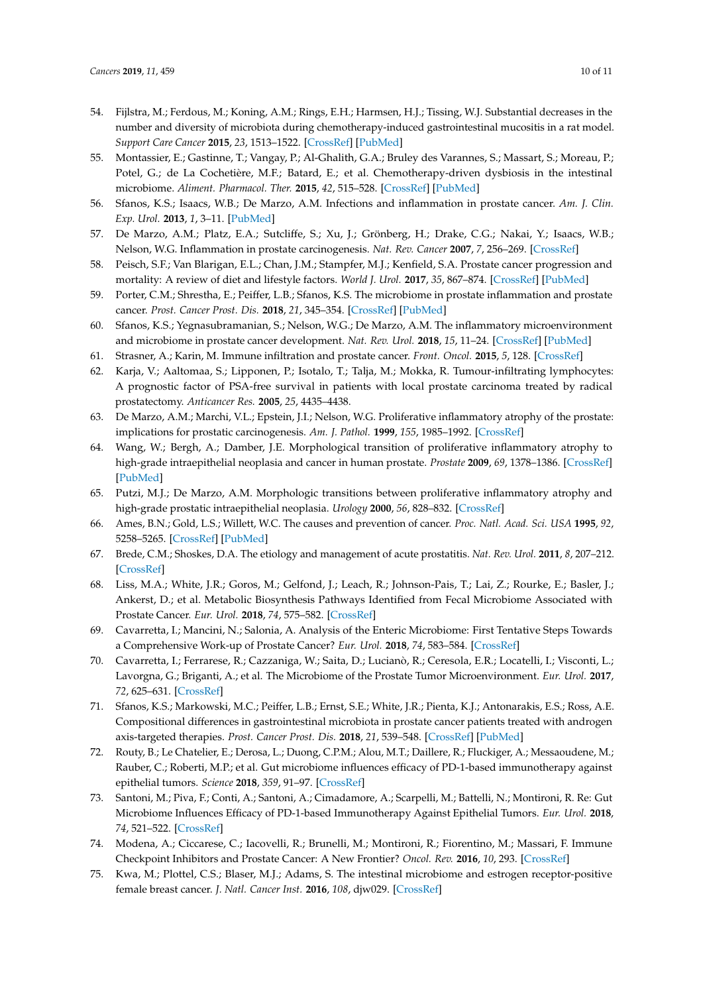- 54. Fijlstra, M.; Ferdous, M.; Koning, A.M.; Rings, E.H.; Harmsen, H.J.; Tissing, W.J. Substantial decreases in the number and diversity of microbiota during chemotherapy-induced gastrointestinal mucositis in a rat model. *Support Care Cancer* **2015**, *23*, 1513–1522. [\[CrossRef\]](http://dx.doi.org/10.1007/s00520-014-2487-6) [\[PubMed\]](http://www.ncbi.nlm.nih.gov/pubmed/25376667)
- <span id="page-9-0"></span>55. Montassier, E.; Gastinne, T.; Vangay, P.; Al-Ghalith, G.A.; Bruley des Varannes, S.; Massart, S.; Moreau, P.; Potel, G.; de La Cochetière, M.F.; Batard, E.; et al. Chemotherapy-driven dysbiosis in the intestinal microbiome. *Aliment. Pharmacol. Ther.* **2015**, *42*, 515–528. [\[CrossRef\]](http://dx.doi.org/10.1111/apt.13302) [\[PubMed\]](http://www.ncbi.nlm.nih.gov/pubmed/26147207)
- <span id="page-9-1"></span>56. Sfanos, K.S.; Isaacs, W.B.; De Marzo, A.M. Infections and inflammation in prostate cancer. *Am. J. Clin. Exp. Urol.* **2013**, *1*, 3–11. [\[PubMed\]](http://www.ncbi.nlm.nih.gov/pubmed/25110720)
- <span id="page-9-5"></span>57. De Marzo, A.M.; Platz, E.A.; Sutcliffe, S.; Xu, J.; Grönberg, H.; Drake, C.G.; Nakai, Y.; Isaacs, W.B.; Nelson, W.G. Inflammation in prostate carcinogenesis. *Nat. Rev. Cancer* **2007**, *7*, 256–269. [\[CrossRef\]](http://dx.doi.org/10.1038/nrc2090)
- <span id="page-9-2"></span>58. Peisch, S.F.; Van Blarigan, E.L.; Chan, J.M.; Stampfer, M.J.; Kenfield, S.A. Prostate cancer progression and mortality: A review of diet and lifestyle factors. *World J. Urol.* **2017**, *35*, 867–874. [\[CrossRef\]](http://dx.doi.org/10.1007/s00345-016-1914-3) [\[PubMed\]](http://www.ncbi.nlm.nih.gov/pubmed/27518576)
- <span id="page-9-3"></span>59. Porter, C.M.; Shrestha, E.; Peiffer, L.B.; Sfanos, K.S. The microbiome in prostate inflammation and prostate cancer. *Prost. Cancer Prost. Dis.* **2018**, *21*, 345–354. [\[CrossRef\]](http://dx.doi.org/10.1038/s41391-018-0041-1) [\[PubMed\]](http://www.ncbi.nlm.nih.gov/pubmed/29795140)
- <span id="page-9-4"></span>60. Sfanos, K.S.; Yegnasubramanian, S.; Nelson, W.G.; De Marzo, A.M. The inflammatory microenvironment and microbiome in prostate cancer development. *Nat. Rev. Urol.* **2018**, *15*, 11–24. [\[CrossRef\]](http://dx.doi.org/10.1038/nrurol.2017.167) [\[PubMed\]](http://www.ncbi.nlm.nih.gov/pubmed/29089606)
- <span id="page-9-6"></span>61. Strasner, A.; Karin, M. Immune infiltration and prostate cancer. *Front. Oncol.* **2015**, *5*, 128. [\[CrossRef\]](http://dx.doi.org/10.3389/fonc.2015.00128)
- <span id="page-9-7"></span>62. Karja, V.; Aaltomaa, S.; Lipponen, P.; Isotalo, T.; Talja, M.; Mokka, R. Tumour-infiltrating lymphocytes: A prognostic factor of PSA-free survival in patients with local prostate carcinoma treated by radical prostatectomy. *Anticancer Res.* **2005**, *25*, 4435–4438.
- <span id="page-9-8"></span>63. De Marzo, A.M.; Marchi, V.L.; Epstein, J.I.; Nelson, W.G. Proliferative inflammatory atrophy of the prostate: implications for prostatic carcinogenesis. *Am. J. Pathol.* **1999**, *155*, 1985–1992. [\[CrossRef\]](http://dx.doi.org/10.1016/S0002-9440(10)65517-4)
- 64. Wang, W.; Bergh, A.; Damber, J.E. Morphological transition of proliferative inflammatory atrophy to high-grade intraepithelial neoplasia and cancer in human prostate. *Prostate* **2009**, *69*, 1378–1386. [\[CrossRef\]](http://dx.doi.org/10.1002/pros.20992) [\[PubMed\]](http://www.ncbi.nlm.nih.gov/pubmed/19507201)
- <span id="page-9-9"></span>65. Putzi, M.J.; De Marzo, A.M. Morphologic transitions between proliferative inflammatory atrophy and high-grade prostatic intraepithelial neoplasia. *Urology* **2000**, *56*, 828–832. [\[CrossRef\]](http://dx.doi.org/10.1016/S0090-4295(00)00776-7)
- <span id="page-9-10"></span>66. Ames, B.N.; Gold, L.S.; Willett, W.C. The causes and prevention of cancer. *Proc. Natl. Acad. Sci. USA* **1995**, *92*, 5258–5265. [\[CrossRef\]](http://dx.doi.org/10.1073/pnas.92.12.5258) [\[PubMed\]](http://www.ncbi.nlm.nih.gov/pubmed/7777494)
- <span id="page-9-11"></span>67. Brede, C.M.; Shoskes, D.A. The etiology and management of acute prostatitis. *Nat. Rev. Urol.* **2011**, *8*, 207–212. [\[CrossRef\]](http://dx.doi.org/10.1038/nrurol.2011.22)
- <span id="page-9-12"></span>68. Liss, M.A.; White, J.R.; Goros, M.; Gelfond, J.; Leach, R.; Johnson-Pais, T.; Lai, Z.; Rourke, E.; Basler, J.; Ankerst, D.; et al. Metabolic Biosynthesis Pathways Identified from Fecal Microbiome Associated with Prostate Cancer. *Eur. Urol.* **2018**, *74*, 575–582. [\[CrossRef\]](http://dx.doi.org/10.1016/j.eururo.2018.06.033)
- <span id="page-9-13"></span>69. Cavarretta, I.; Mancini, N.; Salonia, A. Analysis of the Enteric Microbiome: First Tentative Steps Towards a Comprehensive Work-up of Prostate Cancer? *Eur. Urol.* **2018**, *74*, 583–584. [\[CrossRef\]](http://dx.doi.org/10.1016/j.eururo.2018.07.009)
- <span id="page-9-14"></span>70. Cavarretta, I.; Ferrarese, R.; Cazzaniga, W.; Saita, D.; Lucianò, R.; Ceresola, E.R.; Locatelli, I.; Visconti, L.; Lavorgna, G.; Briganti, A.; et al. The Microbiome of the Prostate Tumor Microenvironment. *Eur. Urol.* **2017**, *72*, 625–631. [\[CrossRef\]](http://dx.doi.org/10.1016/j.eururo.2017.03.029)
- <span id="page-9-15"></span>71. Sfanos, K.S.; Markowski, M.C.; Peiffer, L.B.; Ernst, S.E.; White, J.R.; Pienta, K.J.; Antonarakis, E.S.; Ross, A.E. Compositional differences in gastrointestinal microbiota in prostate cancer patients treated with androgen axis-targeted therapies. *Prost. Cancer Prost. Dis.* **2018**, *21*, 539–548. [\[CrossRef\]](http://dx.doi.org/10.1038/s41391-018-0061-x) [\[PubMed\]](http://www.ncbi.nlm.nih.gov/pubmed/29988102)
- <span id="page-9-16"></span>72. Routy, B.; Le Chatelier, E.; Derosa, L.; Duong, C.P.M.; Alou, M.T.; Daillere, R.; Fluckiger, A.; Messaoudene, M.; Rauber, C.; Roberti, M.P.; et al. Gut microbiome influences efficacy of PD-1-based immunotherapy against epithelial tumors. *Science* **2018**, *359*, 91–97. [\[CrossRef\]](http://dx.doi.org/10.1126/science.aan3706)
- <span id="page-9-17"></span>73. Santoni, M.; Piva, F.; Conti, A.; Santoni, A.; Cimadamore, A.; Scarpelli, M.; Battelli, N.; Montironi, R. Re: Gut Microbiome Influences Efficacy of PD-1-based Immunotherapy Against Epithelial Tumors. *Eur. Urol.* **2018**, *74*, 521–522. [\[CrossRef\]](http://dx.doi.org/10.1016/j.eururo.2018.05.033)
- <span id="page-9-18"></span>74. Modena, A.; Ciccarese, C.; Iacovelli, R.; Brunelli, M.; Montironi, R.; Fiorentino, M.; Massari, F. Immune Checkpoint Inhibitors and Prostate Cancer: A New Frontier? *Oncol. Rev.* **2016**, *10*, 293. [\[CrossRef\]](http://dx.doi.org/10.4081/oncol.2016.293)
- <span id="page-9-19"></span>75. Kwa, M.; Plottel, C.S.; Blaser, M.J.; Adams, S. The intestinal microbiome and estrogen receptor-positive female breast cancer. *J. Natl. Cancer Inst.* **2016**, *108*, djw029. [\[CrossRef\]](http://dx.doi.org/10.1093/jnci/djw029)